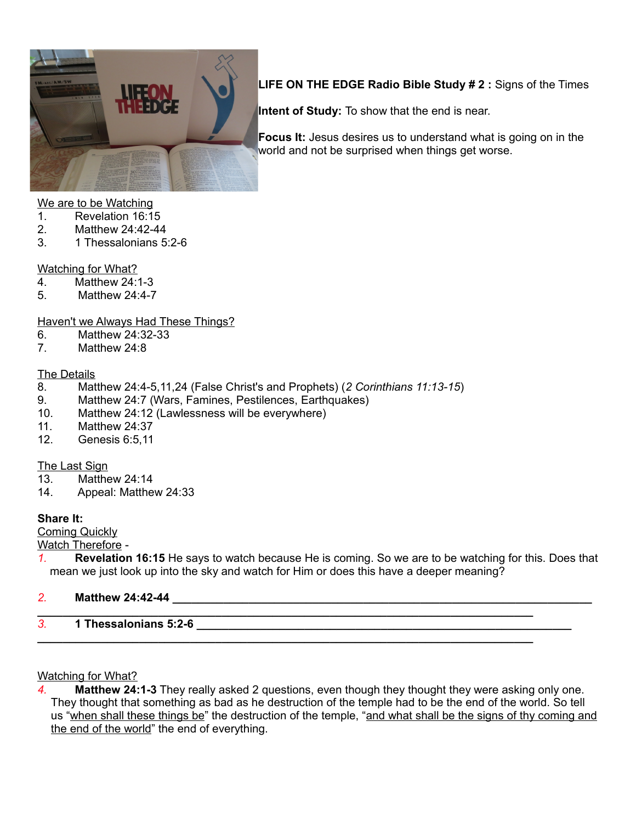

# **LIFE ON THE EDGE Radio Bible Study # 2 :** Signs of the Times

**Intent of Study:** To show that the end is near.

**Focus It:** Jesus desires us to understand what is going on in the world and not be surprised when things get worse.

# We are to be Watching

- 1. Revelation 16:15
- 2. Matthew 24:42-44
- 3. 1 Thessalonians 5:2-6

#### Watching for What?

- 4. Matthew 24:1-3
- 5. Matthew 24:4-7

# Haven't we Always Had These Things?

- 6. Matthew 24:32-33
- 7. Matthew 24:8

#### The Details

- 8. Matthew 24:4-5,11,24 (False Christ's and Prophets) (*2 Corinthians 11:13-15*)
- 9. Matthew 24:7 (Wars, Famines, Pestilences, Earthquakes)
- 10. Matthew 24:12 (Lawlessness will be everywhere)
- 11. Matthew 24:37
- 12. Genesis 6:5,11

#### The Last Sign

- 13. Matthew 24:14
- 14. Appeal: Matthew 24:33

#### **Share It:**

Coming Quickly

#### Watch Therefore -

*1.* **Revelation 16:15** He says to watch because He is coming. So we are to be watching for this. Does that mean we just look up into the sky and watch for Him or does this have a deeper meaning?

#### *2.* **Matthew 24:42-44 \_\_\_\_\_\_\_\_\_\_\_\_\_\_\_\_\_\_\_\_\_\_\_\_\_\_\_\_\_\_\_\_\_\_\_\_\_\_\_\_\_\_\_\_\_\_\_\_\_\_\_\_\_\_\_\_\_\_\_\_\_\_\_\_\_\_**

**\_\_\_\_\_\_\_\_\_\_\_\_\_\_\_\_\_\_\_\_\_\_\_\_\_\_\_\_\_\_\_\_\_\_\_\_\_\_\_\_\_\_\_\_\_\_\_\_\_\_\_\_\_\_\_\_\_\_\_\_\_\_\_\_\_\_\_\_\_\_\_\_\_\_\_\_\_\_** *3.* **1 Thessalonians 5:2-6 \_\_\_\_\_\_\_\_\_\_\_\_\_\_\_\_\_\_\_\_\_\_\_\_\_\_\_\_\_\_\_\_\_\_\_\_\_\_\_\_\_\_\_\_\_\_\_\_\_\_\_\_\_\_\_\_\_\_\_** 

#### Watching for What?

*4.* **Matthew 24:1-3** They really asked 2 questions, even though they thought they were asking only one. They thought that something as bad as he destruction of the temple had to be the end of the world. So tell us "when shall these things be" the destruction of the temple, "and what shall be the signs of thy coming and the end of the world" the end of everything.

**\_\_\_\_\_\_\_\_\_\_\_\_\_\_\_\_\_\_\_\_\_\_\_\_\_\_\_\_\_\_\_\_\_\_\_\_\_\_\_\_\_\_\_\_\_\_\_\_\_\_\_\_\_\_\_\_\_\_\_\_\_\_\_\_\_\_\_\_\_\_\_\_\_\_\_\_\_\_**